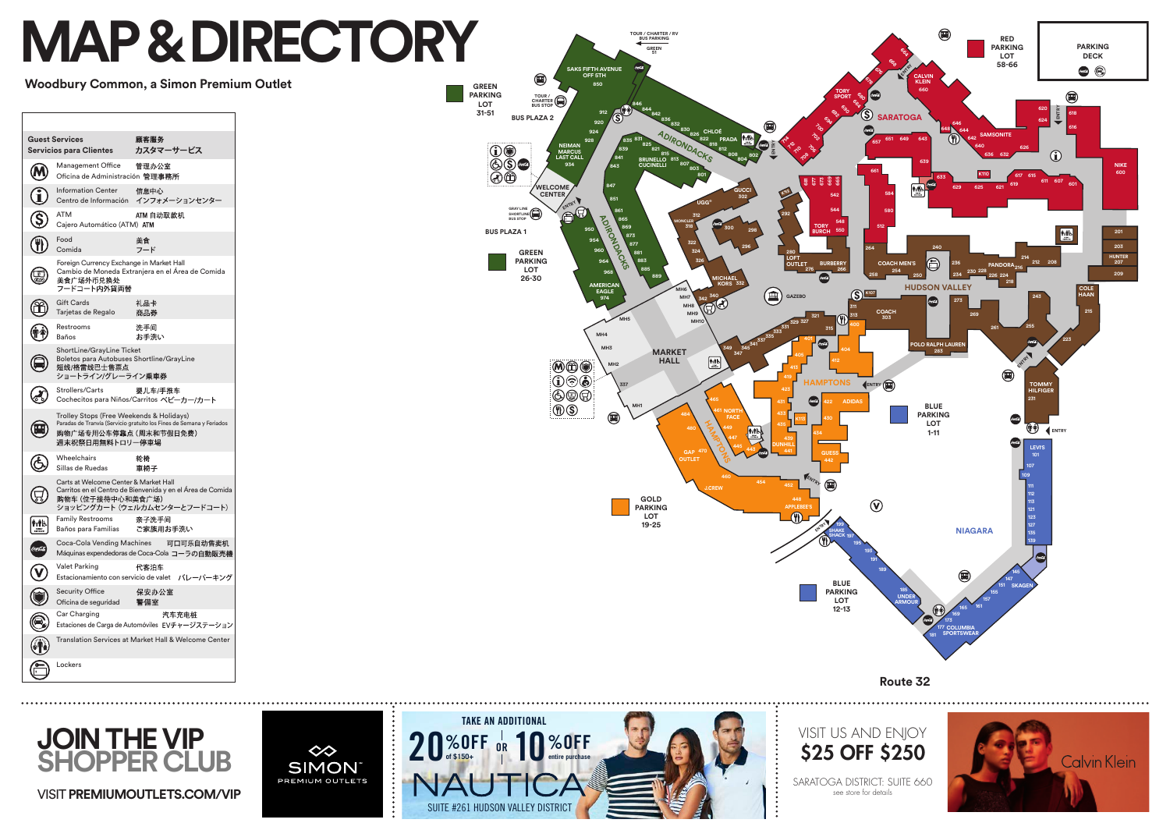# **MAP & DIRECTORY**

**Woodbury Common, a Simon Premium Outlet**

|        | <b>Guest Services</b><br><b>Servicios para Clientes</b>                                                                                                       | 顾客服务<br>カスタマーサービス                                                                    |  |  |  |  |  |  |  |
|--------|---------------------------------------------------------------------------------------------------------------------------------------------------------------|--------------------------------------------------------------------------------------|--|--|--|--|--|--|--|
|        | Management Office<br>管理办公室<br>Oficina de Administración 管理事務所                                                                                                 |                                                                                      |  |  |  |  |  |  |  |
|        | <b>Information Center</b><br>Centro de Información                                                                                                            | 信息中心<br>インフォメーションセンター                                                                |  |  |  |  |  |  |  |
|        | <b>ATM</b><br>Cajero Automático (ATM) ATM                                                                                                                     | ATM 自动取款机                                                                            |  |  |  |  |  |  |  |
|        | Food<br>Comida                                                                                                                                                | 美食<br>フード                                                                            |  |  |  |  |  |  |  |
|        | Foreign Currency Exchange in Market Hall<br>美食广场外币兑换处<br>フードコート内外貨両替                                                                                          | Cambio de Moneda Extranjera en el Área de Comida                                     |  |  |  |  |  |  |  |
|        | <b>Gift Cards</b><br>Tarjetas de Regalo                                                                                                                       | 礼品卡<br>商品券                                                                           |  |  |  |  |  |  |  |
|        | Restrooms<br>Baños                                                                                                                                            | 洗手间<br>お手洗い                                                                          |  |  |  |  |  |  |  |
|        | ShortLine/GrayLine Ticket<br>Boletos para Autobuses Shortline/GrayLine<br>短线/格雷线巴士售票点<br>ショートライン/グレーライン乗車券                                                    |                                                                                      |  |  |  |  |  |  |  |
|        | Strollers/Carts<br>婴儿车/手推车<br>Cochecitos para Niños/Carritos ベビーカー/カート                                                                                        |                                                                                      |  |  |  |  |  |  |  |
|        | Trolley Stops (Free Weekends & Holidays)<br>Paradas de Tranvía (Servicio gratuito los Fines de Semana y Feriados<br>购物广场专用公车停靠点 (周末和节假日免费)<br>週末祝祭日用無料トロリー停車場 |                                                                                      |  |  |  |  |  |  |  |
|        | Wheelchairs<br>Sillas de Ruedas                                                                                                                               | 轮椅<br>車椅子                                                                            |  |  |  |  |  |  |  |
|        | Carts at Welcome Center & Market Hall<br>Carritos en el Centro de Bienvenida y en el Área de Comida<br>购物车 (位于接待中心和美食广场)<br>ショッピングカート(ウェルカムセンターとフードコート)       |                                                                                      |  |  |  |  |  |  |  |
| ħι¶s   | <b>Family Restrooms</b><br>Baños para Familias                                                                                                                | 亲子洗手间<br>ご家族用お手洗い                                                                    |  |  |  |  |  |  |  |
| Wa Cal |                                                                                                                                                               | Coca-Cola Vending Machines 可口可乐自动售卖机<br>Máquinas expendedoras de Coca-Cola コーラの自動販売機 |  |  |  |  |  |  |  |
|        | <b>Valet Parking</b>                                                                                                                                          | 代客泊车<br>Estacionamiento con servicio de valet バレーパーキング                               |  |  |  |  |  |  |  |
|        | <b>Security Office</b><br>Oficina de seguridad                                                                                                                | 保安办公室<br>警備室                                                                         |  |  |  |  |  |  |  |
|        | Car Charging                                                                                                                                                  | 汽车充电桩<br>Estaciones de Carga de Automóviles EVチャージステーション                             |  |  |  |  |  |  |  |
|        |                                                                                                                                                               | Translation Services at Market Hall & Welcome Center                                 |  |  |  |  |  |  |  |
|        | Lockers                                                                                                                                                       |                                                                                      |  |  |  |  |  |  |  |



**Route 32**

### **JOIN THE VIP SHOPPER CLUB**

VISIT **PREMIUMOUTLETS.COM/VIP**

## $\rightsquigarrow$ **SIMON**



#### VISIT US AND ENJOY \$25 OFF \$250

SARATOGA DISTRICT: SUITE 660 see store for details